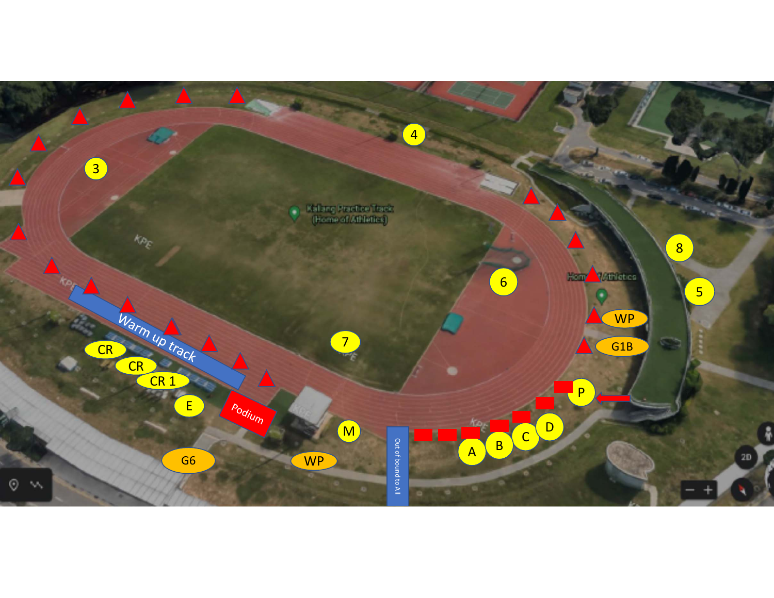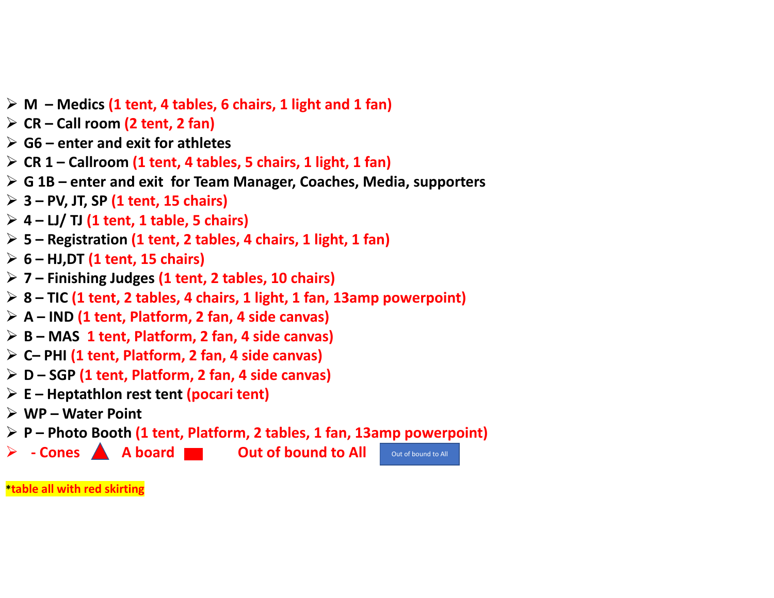- **M – Medics (1 tent, 4 tables, 6 chairs, 1 light and 1 fan)**
- **CR – Call room (2 tent, 2 fan)**
- **G6 – enter and exit for athletes**
- **CR 1 – Callroom (1 tent, 4 tables, 5 chairs, 1 light, 1 fan)**
- **G 1B – enter and exit for Team Manager, Coaches, Media, supporters**
- **3 – PV, JT, SP (1 tent, 15 chairs)**
- **4 – LJ/ TJ (1 tent, 1 table, 5 chairs)**
- **5 – Registration (1 tent, 2 tables, 4 chairs, 1 light, 1 fan)**
- **6 – HJ,DT (1 tent, 15 chairs)**
- **7 – Finishing Judges (1 tent, 2 tables, 10 chairs)**
- **8 – TIC (1 tent, 2 tables, 4 chairs, 1 light, 1 fan, 13amp powerpoint)**
- **A – IND (1 tent, Platform, 2 fan, 4 side canvas)**
- **B – MAS 1 tent, Platform, 2 fan, 4 side canvas)**
- **C– PHI (1 tent, Platform, 2 fan, 4 side canvas)**
- **D – SGP (1 tent, Platform, 2 fan, 4 side canvas)**
- **E – Heptathlon rest tent (pocari tent)**
- **WP – Water Point**
- **P – Photo Booth (1 tent, Platform, 2 tables, 1 fan, 13amp powerpoint)**
- **‐ Cones A board Out of bound to All** 
	-

Out of bound to All

**\*table all with red skirting**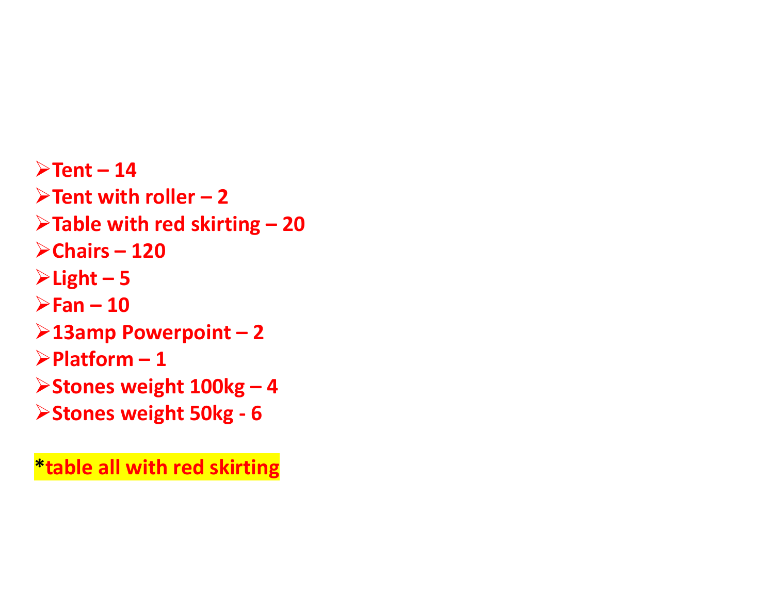$\blacktriangleright$  Tent – 14 **Tent with roller – 2 Table with red skirting – 20 Chairs – 120**  $\blacktriangleright$  Light – 5  $\blacktriangleright$ Fan – 10 **13amp Powerpoint – 2 Platform – 1 Stones weight 100kg – 4 Stones weight 50kg ‐ 6**

**\*table all with red skirting**